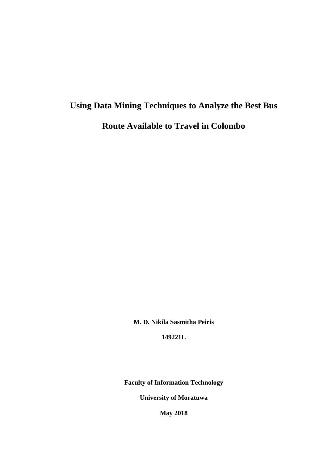# **Using Data Mining Techniques to Analyze the Best Bus Route Available to Travel in Colombo**

**M. D. Nikila Sasmitha Peiris**

**149221L**

**Faculty of Information Technology**

**University of Moratuwa**

**May 2018**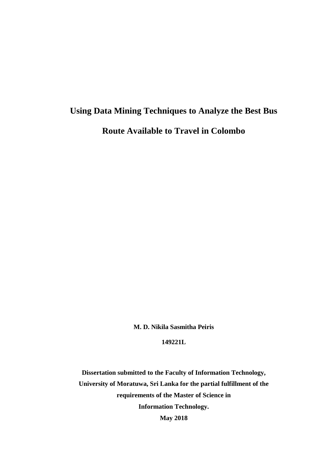## **Using Data Mining Techniques to Analyze the Best Bus Route Available to Travel in Colombo**

**M. D. Nikila Sasmitha Peiris**

**149221L**

**Dissertation submitted to the Faculty of Information Technology, University of Moratuwa, Sri Lanka for the partial fulfillment of the requirements of the Master of Science in Information Technology. May 2018**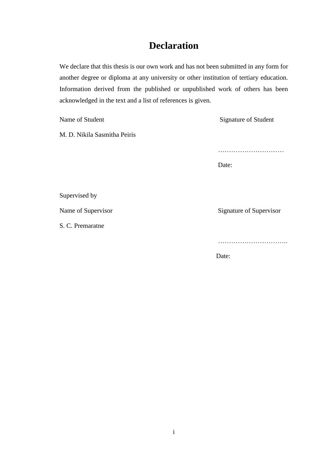### **Declaration**

We declare that this thesis is our own work and has not been submitted in any form for another degree or diploma at any university or other institution of tertiary education. Information derived from the published or unpublished work of others has been acknowledged in the text and a list of references is given.

Name of Student Signature of Student

M. D. Nikila Sasmitha Peiris

…………………………

Date:

Supervised by

S. C. Premaratne

Name of Supervisor Signature of Supervisor

…………………………..

Date: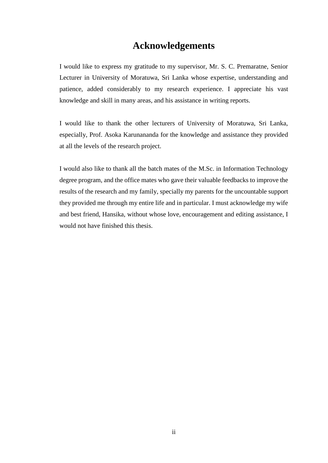#### **Acknowledgements**

I would like to express my gratitude to my supervisor, Mr. S. C. Premaratne, Senior Lecturer in University of Moratuwa, Sri Lanka whose expertise, understanding and patience, added considerably to my research experience. I appreciate his vast knowledge and skill in many areas, and his assistance in writing reports.

I would like to thank the other lecturers of University of Moratuwa, Sri Lanka, especially, Prof. Asoka Karunananda for the knowledge and assistance they provided at all the levels of the research project.

I would also like to thank all the batch mates of the M.Sc. in Information Technology degree program, and the office mates who gave their valuable feedbacks to improve the results of the research and my family, specially my parents for the uncountable support they provided me through my entire life and in particular. I must acknowledge my wife and best friend, Hansika, without whose love, encouragement and editing assistance, I would not have finished this thesis.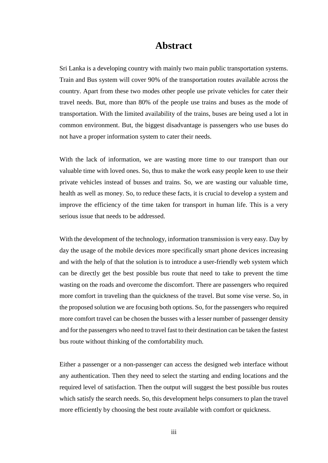#### **Abstract**

Sri Lanka is a developing country with mainly two main public transportation systems. Train and Bus system will cover 90% of the transportation routes available across the country. Apart from these two modes other people use private vehicles for cater their travel needs. But, more than 80% of the people use trains and buses as the mode of transportation. With the limited availability of the trains, buses are being used a lot in common environment. But, the biggest disadvantage is passengers who use buses do not have a proper information system to cater their needs.

With the lack of information, we are wasting more time to our transport than our valuable time with loved ones. So, thus to make the work easy people keen to use their private vehicles instead of busses and trains. So, we are wasting our valuable time, health as well as money. So, to reduce these facts, it is crucial to develop a system and improve the efficiency of the time taken for transport in human life. This is a very serious issue that needs to be addressed.

With the development of the technology, information transmission is very easy. Day by day the usage of the mobile devices more specifically smart phone devices increasing and with the help of that the solution is to introduce a user-friendly web system which can be directly get the best possible bus route that need to take to prevent the time wasting on the roads and overcome the discomfort. There are passengers who required more comfort in traveling than the quickness of the travel. But some vise verse. So, in the proposed solution we are focusing both options. So, for the passengers who required more comfort travel can be chosen the busses with a lesser number of passenger density and for the passengers who need to travel fast to their destination can be taken the fastest bus route without thinking of the comfortability much.

Either a passenger or a non-passenger can access the designed web interface without any authentication. Then they need to select the starting and ending locations and the required level of satisfaction. Then the output will suggest the best possible bus routes which satisfy the search needs. So, this development helps consumers to plan the travel more efficiently by choosing the best route available with comfort or quickness.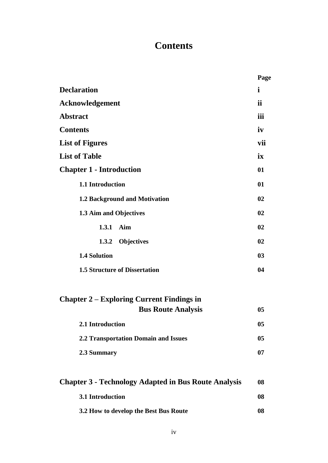### **Contents**

|                                                                               | Page           |
|-------------------------------------------------------------------------------|----------------|
| <b>Declaration</b>                                                            | $\mathbf{i}$   |
| <b>Acknowledgement</b>                                                        | ii             |
| <b>Abstract</b>                                                               | iii            |
| <b>Contents</b>                                                               | iv             |
| <b>List of Figures</b>                                                        | vii            |
| <b>List of Table</b>                                                          | ix             |
| <b>Chapter 1 - Introduction</b>                                               | 01             |
| 1.1 Introduction                                                              | 01             |
| 1.2 Background and Motivation                                                 | 02             |
| 1.3 Aim and Objectives                                                        | 02             |
| 1.3.1<br>Aim                                                                  | 02             |
| <b>Objectives</b><br>1.3.2                                                    | 02             |
| <b>1.4 Solution</b>                                                           | 0 <sub>3</sub> |
| <b>1.5 Structure of Dissertation</b>                                          | 04             |
| <b>Chapter 2 – Exploring Current Findings in</b><br><b>Bus Route Analysis</b> | 0 <sub>5</sub> |
| 2.1 Introduction                                                              | 0 <sub>5</sub> |
| <b>2.2 Transportation Domain and Issues</b>                                   | 05             |
| 2.3 Summary                                                                   | 07             |
| <b>Chapter 3 - Technology Adapted in Bus Route Analysis</b>                   | 08             |
| 3.1 Introduction                                                              | 08             |
| 3.2 How to develop the Best Bus Route                                         | 08             |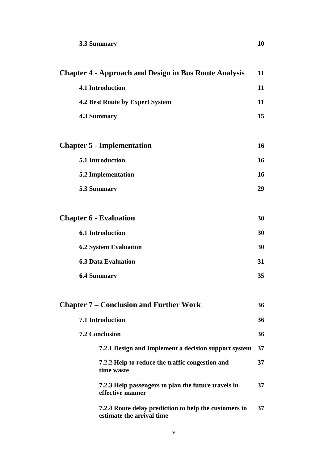| <b>Chapter 4 - Approach and Design in Bus Route Analysis</b>                       | 11 |
|------------------------------------------------------------------------------------|----|
| 4.1 Introduction                                                                   | 11 |
| <b>4.2 Best Route by Expert System</b>                                             | 11 |
| <b>4.3 Summary</b>                                                                 | 15 |
|                                                                                    |    |
| <b>Chapter 5 - Implementation</b>                                                  | 16 |
| 5.1 Introduction                                                                   | 16 |
| <b>5.2 Implementation</b>                                                          | 16 |
| 5.3 Summary                                                                        | 29 |
|                                                                                    |    |
| <b>Chapter 6 - Evaluation</b>                                                      | 30 |
| <b>6.1 Introduction</b>                                                            | 30 |
| <b>6.2 System Evaluation</b>                                                       | 30 |
| <b>6.3 Data Evaluation</b>                                                         | 31 |
| <b>6.4 Summary</b>                                                                 | 35 |
|                                                                                    |    |
| <b>Chapter 7 - Conclusion and Further Work</b>                                     | 36 |
| 7.1 Introduction                                                                   | 36 |
| <b>7.2 Conclusion</b>                                                              | 36 |
| 7.2.1 Design and Implement a decision support system                               | 37 |
| 7.2.2 Help to reduce the traffic congestion and<br>time waste                      | 37 |
| 7.2.3 Help passengers to plan the future travels in<br>effective manner            | 37 |
| 7.2.4 Route delay prediction to help the customers to<br>estimate the arrival time | 37 |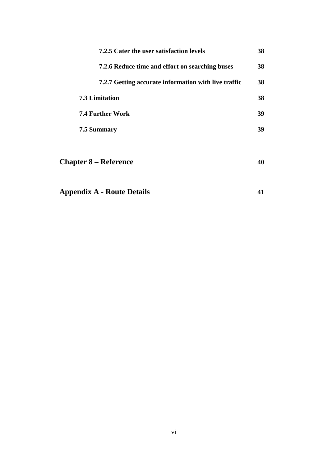| 7.2.5 Cater the user satisfaction levels             | 38 |
|------------------------------------------------------|----|
| 7.2.6 Reduce time and effort on searching buses      | 38 |
| 7.2.7 Getting accurate information with live traffic | 38 |
| <b>7.3 Limitation</b>                                | 38 |
| <b>7.4 Further Work</b>                              | 39 |
| 7.5 Summary                                          | 39 |
|                                                      |    |
| <b>Chapter 8 – Reference</b>                         | 40 |
|                                                      |    |
| <b>Appendix A - Route Details</b>                    | 41 |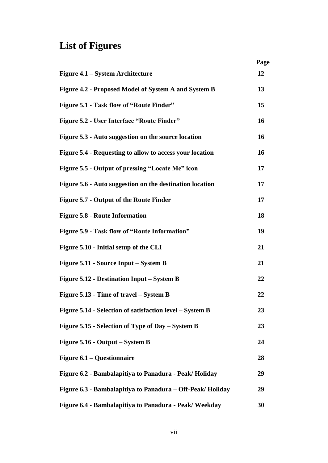## **List of Figures**

|                                                           | Page |
|-----------------------------------------------------------|------|
| Figure 4.1 – System Architecture                          | 12   |
| Figure 4.2 - Proposed Model of System A and System B      | 13   |
| Figure 5.1 - Task flow of "Route Finder"                  | 15   |
| Figure 5.2 - User Interface "Route Finder"                | 16   |
| Figure 5.3 - Auto suggestion on the source location       | 16   |
| Figure 5.4 - Requesting to allow to access your location  | 16   |
| Figure 5.5 - Output of pressing "Locate Me" icon          | 17   |
| Figure 5.6 - Auto suggestion on the destination location  | 17   |
| Figure 5.7 - Output of the Route Finder                   | 17   |
| <b>Figure 5.8 - Route Information</b>                     | 18   |
| Figure 5.9 - Task flow of "Route Information"             | 19   |
| Figure 5.10 - Initial setup of the CLI                    | 21   |
| Figure 5.11 - Source Input – System B                     | 21   |
| Figure 5.12 - Destination Input – System B                | 22   |
| Figure 5.13 - Time of travel – System B                   | 22   |
| Figure 5.14 - Selection of satisfaction level – System B  | 23   |
| Figure 5.15 - Selection of Type of Day – System B         | 23   |
| Figure 5.16 - Output – System B                           | 24   |
| Figure 6.1 – Questionnaire                                | 28   |
| Figure 6.2 - Bambalapitiya to Panadura - Peak/Holiday     | 29   |
| Figure 6.3 - Bambalapitiya to Panadura – Off-Peak/Holiday | 29   |
| Figure 6.4 - Bambalapitiya to Panadura - Peak/ Weekday    | 30   |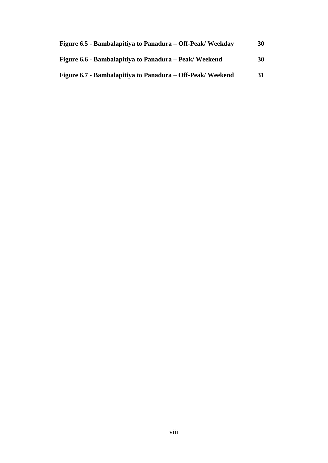| Figure 6.5 - Bambalapitiya to Panadura – Off-Peak/Weekday | 30 |
|-----------------------------------------------------------|----|
| Figure 6.6 - Bambalapitiya to Panadura – Peak/Weekend     | 30 |
| Figure 6.7 - Bambalapitiya to Panadura – Off-Peak/Weekend | 31 |